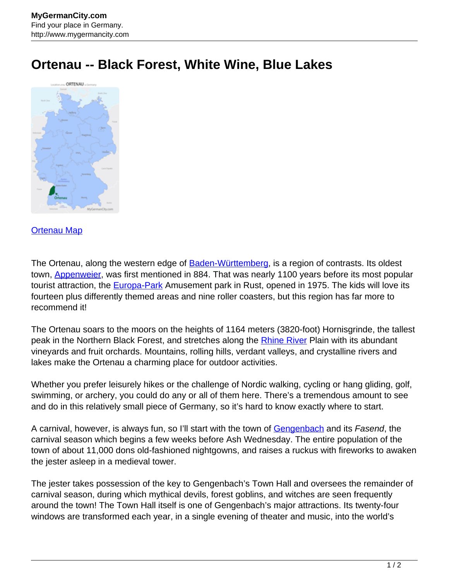## **Ortenau -- Black Forest, White Wine, Blue Lakes**



## [Ortenau Map](http://www.mygermancity.com/ortenau-map)

The Ortenau, along the western edge of [Baden-Württemberg](http://www.mygermancity.com/baden-wuerttemberg), is a region of contrasts. Its oldest town, **Appenweier**, was first mentioned in 884. That was nearly 1100 years before its most popular tourist attraction, the **Europa-Park** Amusement park in Rust, opened in 1975. The kids will love its fourteen plus differently themed areas and nine roller coasters, but this region has far more to recommend it!

The Ortenau soars to the moors on the heights of 1164 meters (3820-foot) Hornisgrinde, the tallest peak in the Northern Black Forest, and stretches along the [Rhine River](http://www.mygermancity.com/rhine) Plain with its abundant vineyards and fruit orchards. Mountains, rolling hills, verdant valleys, and crystalline rivers and lakes make the Ortenau a charming place for outdoor activities.

Whether you prefer leisurely hikes or the challenge of Nordic walking, cycling or hang gliding, golf, swimming, or archery, you could do any or all of them here. There's a tremendous amount to see and do in this relatively small piece of Germany, so it's hard to know exactly where to start.

A carnival, however, is always fun, so I'll start with the town of [Gengenbach](http://www.mygermancity.com/gengenbach) and its Fasend, the carnival season which begins a few weeks before Ash Wednesday. The entire population of the town of about 11,000 dons old-fashioned nightgowns, and raises a ruckus with fireworks to awaken the jester asleep in a medieval tower.

The jester takes possession of the key to Gengenbach's Town Hall and oversees the remainder of carnival season, during which mythical devils, forest goblins, and witches are seen frequently around the town! The Town Hall itself is one of Gengenbach's major attractions. Its twenty-four windows are transformed each year, in a single evening of theater and music, into the world's